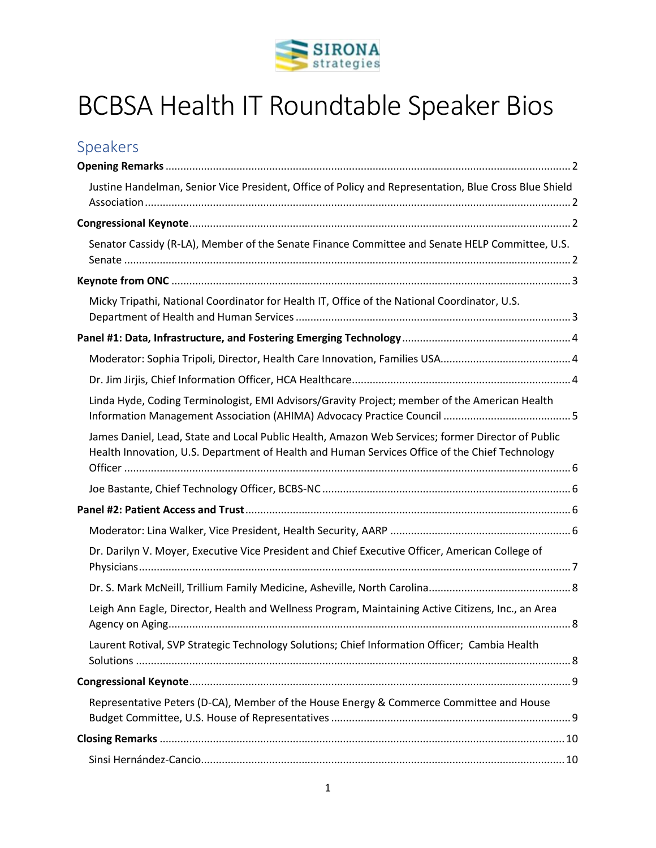

# BCBSA Health IT Roundtable Speaker Bios

# Speakers

| Justine Handelman, Senior Vice President, Office of Policy and Representation, Blue Cross Blue Shield                                                                                               |
|-----------------------------------------------------------------------------------------------------------------------------------------------------------------------------------------------------|
|                                                                                                                                                                                                     |
| Senator Cassidy (R-LA), Member of the Senate Finance Committee and Senate HELP Committee, U.S.                                                                                                      |
|                                                                                                                                                                                                     |
| Micky Tripathi, National Coordinator for Health IT, Office of the National Coordinator, U.S.                                                                                                        |
|                                                                                                                                                                                                     |
|                                                                                                                                                                                                     |
|                                                                                                                                                                                                     |
| Linda Hyde, Coding Terminologist, EMI Advisors/Gravity Project; member of the American Health                                                                                                       |
| James Daniel, Lead, State and Local Public Health, Amazon Web Services; former Director of Public<br>Health Innovation, U.S. Department of Health and Human Services Office of the Chief Technology |
|                                                                                                                                                                                                     |
|                                                                                                                                                                                                     |
|                                                                                                                                                                                                     |
| Dr. Darilyn V. Moyer, Executive Vice President and Chief Executive Officer, American College of                                                                                                     |
|                                                                                                                                                                                                     |
| Leigh Ann Eagle, Director, Health and Wellness Program, Maintaining Active Citizens, Inc., an Area                                                                                                  |
| Laurent Rotival, SVP Strategic Technology Solutions; Chief Information Officer; Cambia Health                                                                                                       |
|                                                                                                                                                                                                     |
| Representative Peters (D-CA), Member of the House Energy & Commerce Committee and House                                                                                                             |
|                                                                                                                                                                                                     |
|                                                                                                                                                                                                     |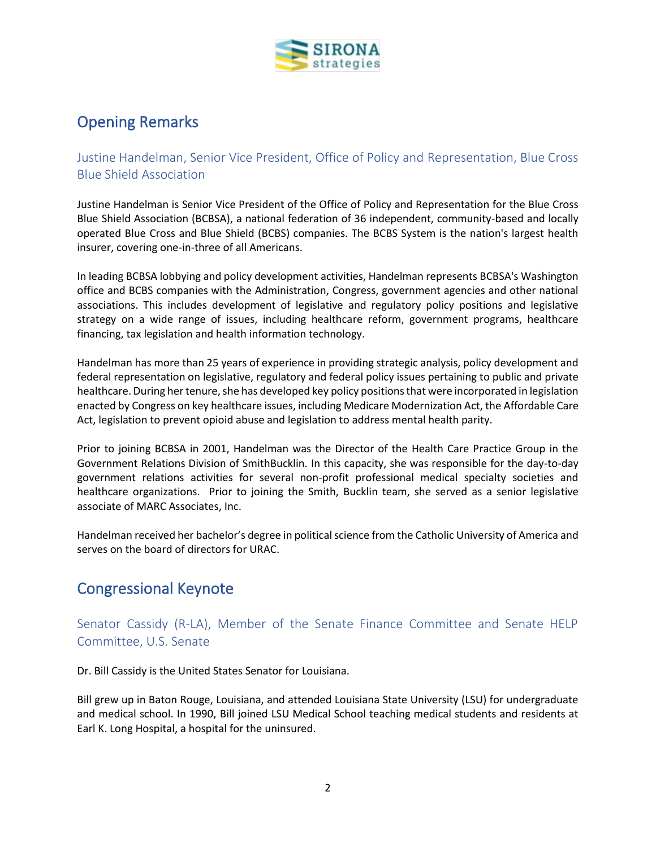

## <span id="page-1-0"></span>Opening Remarks

<span id="page-1-1"></span>Justine Handelman, Senior Vice President, Office of Policy and Representation, Blue Cross Blue Shield Association

Justine Handelman is Senior Vice President of the Office of Policy and Representation for the Blue Cross Blue Shield Association (BCBSA), a national federation of 36 independent, community-based and locally operated Blue Cross and Blue Shield (BCBS) companies. The BCBS System is the nation's largest health insurer, covering one-in-three of all Americans.

In leading BCBSA lobbying and policy development activities, Handelman represents BCBSA's Washington office and BCBS companies with the Administration, Congress, government agencies and other national associations. This includes development of legislative and regulatory policy positions and legislative strategy on a wide range of issues, including healthcare reform, government programs, healthcare financing, tax legislation and health information technology.

Handelman has more than 25 years of experience in providing strategic analysis, policy development and federal representation on legislative, regulatory and federal policy issues pertaining to public and private healthcare. During her tenure, she has developed key policy positions that were incorporated in legislation enacted by Congress on key healthcare issues, including Medicare Modernization Act, the Affordable Care Act, legislation to prevent opioid abuse and legislation to address mental health parity.

Prior to joining BCBSA in 2001, Handelman was the Director of the Health Care Practice Group in the Government Relations Division of SmithBucklin. In this capacity, she was responsible for the day-to-day government relations activities for several non-profit professional medical specialty societies and healthcare organizations. Prior to joining the Smith, Bucklin team, she served as a senior legislative associate of MARC Associates, Inc.

Handelman received her bachelor's degree in political science from the Catholic University of America and serves on the board of directors for URAC.

## <span id="page-1-2"></span>Congressional Keynote

<span id="page-1-3"></span>Senator Cassidy (R-LA), Member of the Senate Finance Committee and Senate HELP Committee, U.S. Senate

Dr. Bill Cassidy is the United States Senator for Louisiana.

Bill grew up in Baton Rouge, Louisiana, and attended Louisiana State University (LSU) for undergraduate and medical school. In 1990, Bill joined LSU Medical School teaching medical students and residents at Earl K. Long Hospital, a hospital for the uninsured.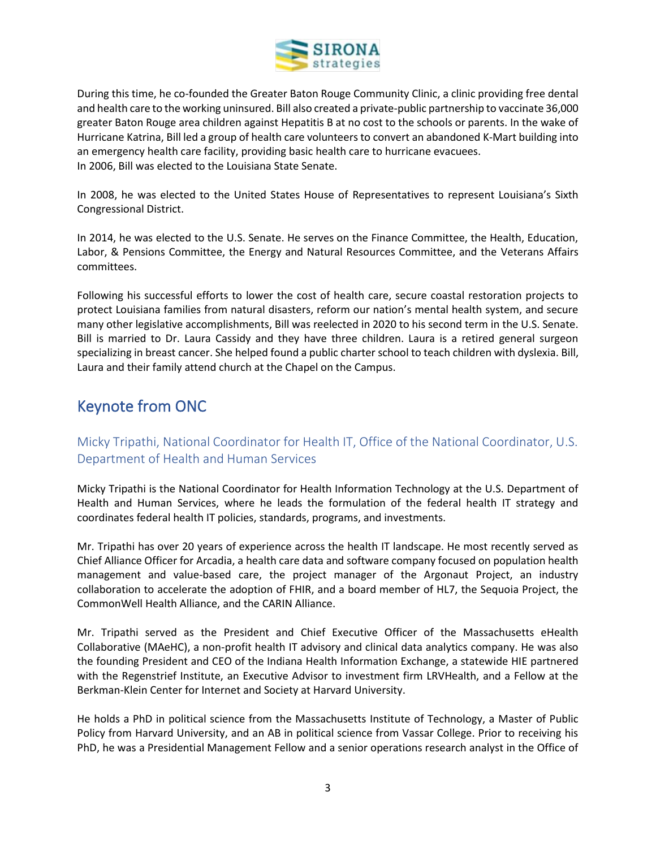

During this time, he co-founded the Greater Baton Rouge Community Clinic, a clinic providing free dental and health care to the working uninsured. Bill also created a private-public partnership to vaccinate 36,000 greater Baton Rouge area children against Hepatitis B at no cost to the schools or parents. In the wake of Hurricane Katrina, Bill led a group of health care volunteers to convert an abandoned K-Mart building into an emergency health care facility, providing basic health care to hurricane evacuees. In 2006, Bill was elected to the Louisiana State Senate.

In 2008, he was elected to the United States House of Representatives to represent Louisiana's Sixth Congressional District.

In 2014, he was elected to the U.S. Senate. He serves on the Finance Committee, the Health, Education, Labor, & Pensions Committee, the Energy and Natural Resources Committee, and the Veterans Affairs committees.

Following his successful efforts to lower the cost of health care, secure coastal restoration projects to protect Louisiana families from natural disasters, reform our nation's mental health system, and secure many other legislative accomplishments, Bill was reelected in 2020 to his second term in the U.S. Senate. Bill is married to Dr. Laura Cassidy and they have three children. Laura is a retired general surgeon specializing in breast cancer. She helped found a public charter school to teach children with dyslexia. Bill, Laura and their family attend church at the Chapel on the Campus.

# <span id="page-2-0"></span>Keynote from ONC

<span id="page-2-1"></span>Micky Tripathi, National Coordinator for Health IT, Office of the National Coordinator, U.S. Department of Health and Human Services

Micky Tripathi is the National Coordinator for Health Information Technology at the U.S. Department of Health and Human Services, where he leads the formulation of the federal health IT strategy and coordinates federal health IT policies, standards, programs, and investments.

Mr. Tripathi has over 20 years of experience across the health IT landscape. He most recently served as Chief Alliance Officer for Arcadia, a health care data and software company focused on population health management and value-based care, the project manager of the Argonaut Project, an industry collaboration to accelerate the adoption of FHIR, and a board member of HL7, the Sequoia Project, the CommonWell Health Alliance, and the CARIN Alliance.

Mr. Tripathi served as the President and Chief Executive Officer of the Massachusetts eHealth Collaborative (MAeHC), a non-profit health IT advisory and clinical data analytics company. He was also the founding President and CEO of the Indiana Health Information Exchange, a statewide HIE partnered with the Regenstrief Institute, an Executive Advisor to investment firm LRVHealth, and a Fellow at the Berkman-Klein Center for Internet and Society at Harvard University.

He holds a PhD in political science from the Massachusetts Institute of Technology, a Master of Public Policy from Harvard University, and an AB in political science from Vassar College. Prior to receiving his PhD, he was a Presidential Management Fellow and a senior operations research analyst in the Office of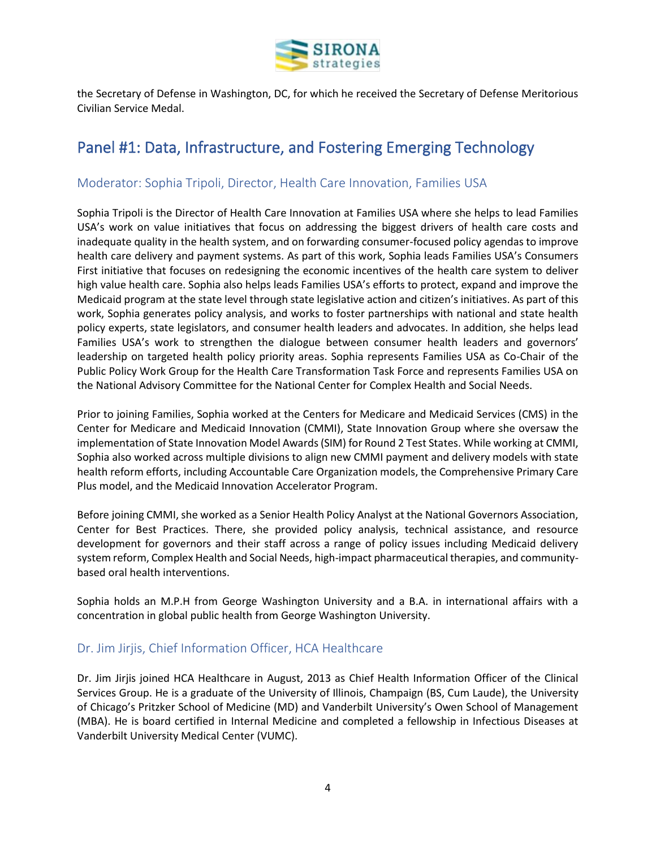

the Secretary of Defense in Washington, DC, for which he received the Secretary of Defense Meritorious Civilian Service Medal.

# <span id="page-3-0"></span>Panel #1: Data, Infrastructure, and Fostering Emerging Technology

## <span id="page-3-1"></span>Moderator: Sophia Tripoli, Director, Health Care Innovation, Families USA

Sophia Tripoli is the Director of Health Care Innovation at Families USA where she helps to lead Families USA's work on value initiatives that focus on addressing the biggest drivers of health care costs and inadequate quality in the health system, and on forwarding consumer-focused policy agendas to improve health care delivery and payment systems. As part of this work, Sophia leads Families USA's Consumers First initiative that focuses on redesigning the economic incentives of the health care system to deliver high value health care. Sophia also helps leads Families USA's efforts to protect, expand and improve the Medicaid program at the state level through state legislative action and citizen's initiatives. As part of this work, Sophia generates policy analysis, and works to foster partnerships with national and state health policy experts, state legislators, and consumer health leaders and advocates. In addition, she helps lead Families USA's work to strengthen the dialogue between consumer health leaders and governors' leadership on targeted health policy priority areas. Sophia represents Families USA as Co-Chair of the Public Policy Work Group for the Health Care Transformation Task Force and represents Families USA on the National Advisory Committee for the National Center for Complex Health and Social Needs.

Prior to joining Families, Sophia worked at the Centers for Medicare and Medicaid Services (CMS) in the Center for Medicare and Medicaid Innovation (CMMI), State Innovation Group where she oversaw the implementation of State Innovation Model Awards (SIM) for Round 2 Test States. While working at CMMI, Sophia also worked across multiple divisions to align new CMMI payment and delivery models with state health reform efforts, including Accountable Care Organization models, the Comprehensive Primary Care Plus model, and the Medicaid Innovation Accelerator Program.

Before joining CMMI, she worked as a Senior Health Policy Analyst at the National Governors Association, Center for Best Practices. There, she provided policy analysis, technical assistance, and resource development for governors and their staff across a range of policy issues including Medicaid delivery system reform, Complex Health and Social Needs, high-impact pharmaceutical therapies, and communitybased oral health interventions.

Sophia holds an M.P.H from George Washington University and a B.A. in international affairs with a concentration in global public health from George Washington University.

### <span id="page-3-2"></span>Dr. Jim Jirjis, Chief Information Officer, HCA Healthcare

Dr. Jim Jirjis joined HCA Healthcare in August, 2013 as Chief Health Information Officer of the Clinical Services Group. He is a graduate of the University of Illinois, Champaign (BS, Cum Laude), the University of Chicago's Pritzker School of Medicine (MD) and Vanderbilt University's Owen School of Management (MBA). He is board certified in Internal Medicine and completed a fellowship in Infectious Diseases at Vanderbilt University Medical Center (VUMC).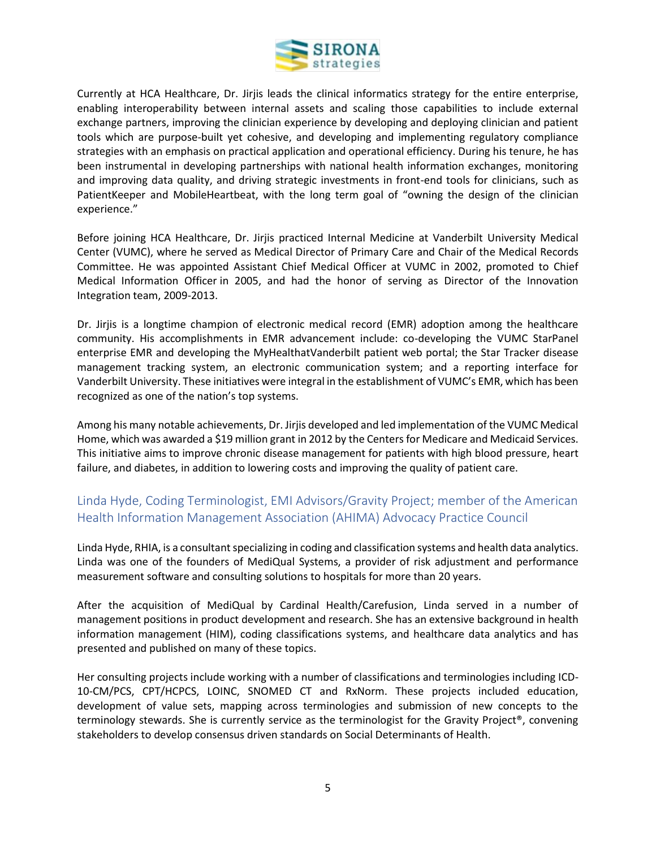

Currently at HCA Healthcare, Dr. Jirjis leads the clinical informatics strategy for the entire enterprise, enabling interoperability between internal assets and scaling those capabilities to include external exchange partners, improving the clinician experience by developing and deploying clinician and patient tools which are purpose-built yet cohesive, and developing and implementing regulatory compliance strategies with an emphasis on practical application and operational efficiency. During his tenure, he has been instrumental in developing partnerships with national health information exchanges, monitoring and improving data quality, and driving strategic investments in front-end tools for clinicians, such as PatientKeeper and MobileHeartbeat, with the long term goal of "owning the design of the clinician experience."

Before joining HCA Healthcare, Dr. Jirjis practiced Internal Medicine at Vanderbilt University Medical Center (VUMC), where he served as Medical Director of Primary Care and Chair of the Medical Records Committee. He was appointed Assistant Chief Medical Officer at VUMC in 2002, promoted to Chief Medical Information Officer in 2005, and had the honor of serving as Director of the Innovation Integration team, 2009-2013.

Dr. Jirjis is a longtime champion of electronic medical record (EMR) adoption among the healthcare community. His accomplishments in EMR advancement include: co-developing the VUMC StarPanel enterprise EMR and developing the MyHealthatVanderbilt patient web portal; the Star Tracker disease management tracking system, an electronic communication system; and a reporting interface for Vanderbilt University. These initiatives were integral in the establishment of VUMC's EMR, which has been recognized as one of the nation's top systems.

Among his many notable achievements, Dr. Jirjis developed and led implementation of the VUMC Medical Home, which was awarded a \$19 million grant in 2012 by the Centers for Medicare and Medicaid Services. This initiative aims to improve chronic disease management for patients with high blood pressure, heart failure, and diabetes, in addition to lowering costs and improving the quality of patient care.

## <span id="page-4-0"></span>Linda Hyde, Coding Terminologist, EMI Advisors/Gravity Project; member of the American Health Information Management Association (AHIMA) Advocacy Practice Council

Linda Hyde, RHIA, is a consultant specializing in coding and classification systems and health data analytics. Linda was one of the founders of MediQual Systems, a provider of risk adjustment and performance measurement software and consulting solutions to hospitals for more than 20 years.

After the acquisition of MediQual by Cardinal Health/Carefusion, Linda served in a number of management positions in product development and research. She has an extensive background in health information management (HIM), coding classifications systems, and healthcare data analytics and has presented and published on many of these topics.

Her consulting projects include working with a number of classifications and terminologies including ICD-10-CM/PCS, CPT/HCPCS, LOINC, SNOMED CT and RxNorm. These projects included education, development of value sets, mapping across terminologies and submission of new concepts to the terminology stewards. She is currently service as the terminologist for the Gravity Project®, convening stakeholders to develop consensus driven standards on Social Determinants of Health.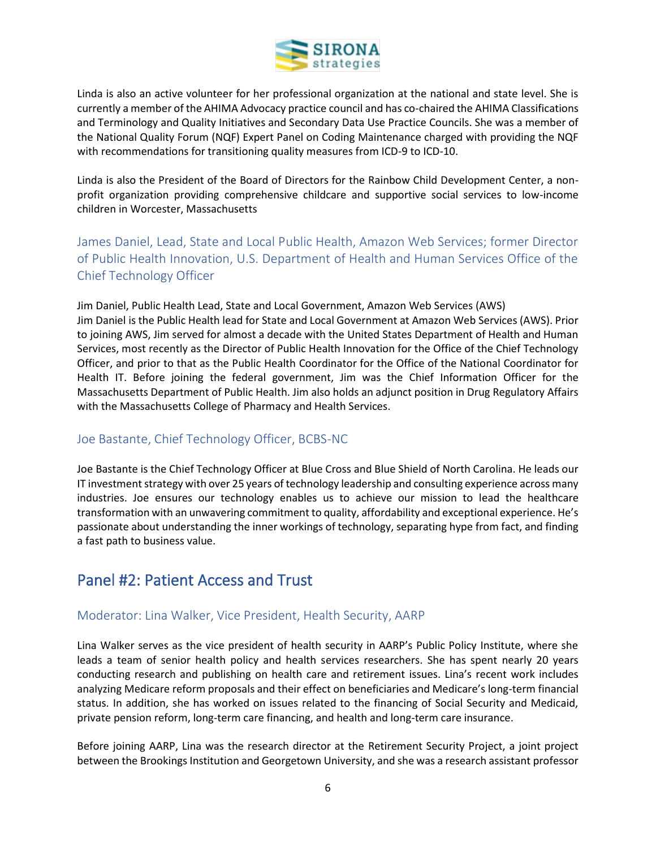

Linda is also an active volunteer for her professional organization at the national and state level. She is currently a member of the AHIMA Advocacy practice council and has co-chaired the AHIMA Classifications and Terminology and Quality Initiatives and Secondary Data Use Practice Councils. She was a member of the National Quality Forum (NQF) Expert Panel on Coding Maintenance charged with providing the NQF with recommendations for transitioning quality measures from ICD-9 to ICD-10.

Linda is also the President of the Board of Directors for the Rainbow Child Development Center, a nonprofit organization providing comprehensive childcare and supportive social services to low-income children in Worcester, Massachusetts

<span id="page-5-0"></span>James Daniel, Lead, State and Local Public Health, Amazon Web Services; former Director of Public Health Innovation, U.S. Department of Health and Human Services Office of the Chief Technology Officer

Jim Daniel, Public Health Lead, State and Local Government, Amazon Web Services (AWS) Jim Daniel is the Public Health lead for State and Local Government at Amazon Web Services (AWS). Prior to joining AWS, Jim served for almost a decade with the United States Department of Health and Human Services, most recently as the Director of Public Health Innovation for the Office of the Chief Technology Officer, and prior to that as the Public Health Coordinator for the Office of the National Coordinator for Health IT. Before joining the federal government, Jim was the Chief Information Officer for the Massachusetts Department of Public Health. Jim also holds an adjunct position in Drug Regulatory Affairs with the Massachusetts College of Pharmacy and Health Services.

### <span id="page-5-1"></span>Joe Bastante, Chief Technology Officer, BCBS-NC

Joe Bastante is the Chief Technology Officer at Blue Cross and Blue Shield of North Carolina. He leads our IT investment strategy with over 25 years of technology leadership and consulting experience across many industries. Joe ensures our technology enables us to achieve our mission to lead the healthcare transformation with an unwavering commitment to quality, affordability and exceptional experience. He's passionate about understanding the inner workings of technology, separating hype from fact, and finding a fast path to business value.

## <span id="page-5-2"></span>Panel #2: Patient Access and Trust

### <span id="page-5-3"></span>Moderator: Lina Walker, Vice President, Health Security, AARP

Lina Walker serves as the vice president of health security in AARP's Public Policy Institute, where she leads a team of senior health policy and health services researchers. She has spent nearly 20 years conducting research and publishing on health care and retirement issues. Lina's recent work includes analyzing Medicare reform proposals and their effect on beneficiaries and Medicare's long-term financial status. In addition, she has worked on issues related to the financing of Social Security and Medicaid, private pension reform, long-term care financing, and health and long-term care insurance.

Before joining AARP, Lina was the research director at the Retirement Security Project, a joint project between the Brookings Institution and Georgetown University, and she was a research assistant professor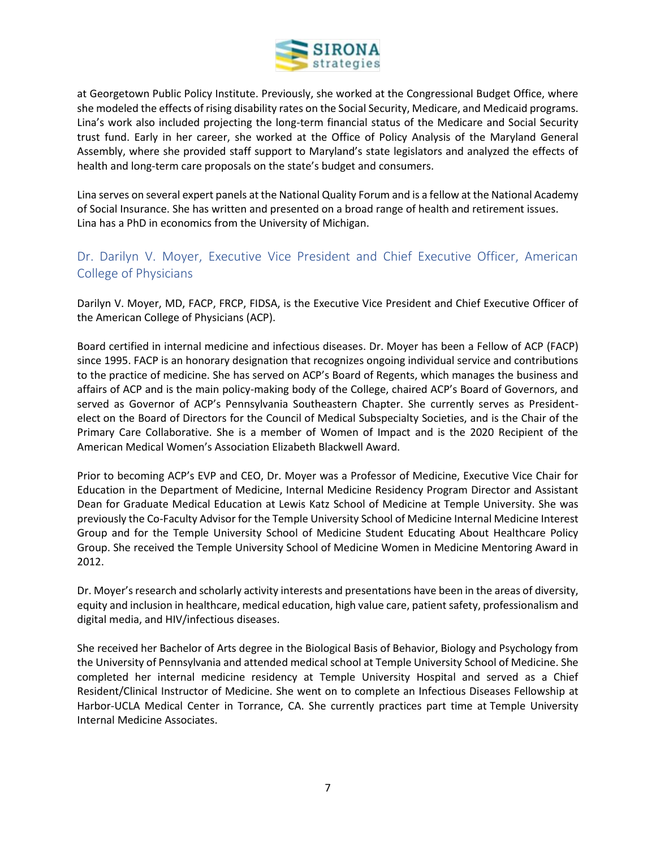

at Georgetown Public Policy Institute. Previously, she worked at the Congressional Budget Office, where she modeled the effects of rising disability rates on the Social Security, Medicare, and Medicaid programs. Lina's work also included projecting the long-term financial status of the Medicare and Social Security trust fund. Early in her career, she worked at the Office of Policy Analysis of the Maryland General Assembly, where she provided staff support to Maryland's state legislators and analyzed the effects of health and long-term care proposals on the state's budget and consumers.

Lina serves on several expert panels at the National Quality Forum and is a fellow at the National Academy of Social Insurance. She has written and presented on a broad range of health and retirement issues. Lina has a PhD in economics from the University of Michigan.

## <span id="page-6-0"></span>Dr. Darilyn V. Moyer, Executive Vice President and Chief Executive Officer, American College of Physicians

Darilyn V. Moyer, MD, FACP, FRCP, FIDSA, is the Executive Vice President and Chief Executive Officer of the American College of Physicians (ACP).

Board certified in internal medicine and infectious diseases. Dr. Moyer has been a Fellow of ACP (FACP) since 1995. FACP is an honorary designation that recognizes ongoing individual service and contributions to the practice of medicine. She has served on ACP's Board of Regents, which manages the business and affairs of ACP and is the main policy-making body of the College, chaired ACP's Board of Governors, and served as Governor of ACP's Pennsylvania Southeastern Chapter. She currently serves as Presidentelect on the Board of Directors for the Council of Medical Subspecialty Societies, and is the Chair of the Primary Care Collaborative. She is a member of Women of Impact and is the 2020 Recipient of the American Medical Women's Association Elizabeth Blackwell Award.

Prior to becoming ACP's EVP and CEO, Dr. Moyer was a Professor of Medicine, Executive Vice Chair for Education in the Department of Medicine, Internal Medicine Residency Program Director and Assistant Dean for Graduate Medical Education at Lewis Katz School of Medicine at Temple University. She was previously the Co-Faculty Advisor for the Temple University School of Medicine Internal Medicine Interest Group and for the Temple University School of Medicine Student Educating About Healthcare Policy Group. She received the Temple University School of Medicine Women in Medicine Mentoring Award in 2012.

Dr. Moyer's research and scholarly activity interests and presentations have been in the areas of diversity, equity and inclusion in healthcare, medical education, high value care, patient safety, professionalism and digital media, and HIV/infectious diseases.

She received her Bachelor of Arts degree in the Biological Basis of Behavior, Biology and Psychology from the University of Pennsylvania and attended medical school at Temple University School of Medicine. She completed her internal medicine residency at Temple University Hospital and served as a Chief Resident/Clinical Instructor of Medicine. She went on to complete an Infectious Diseases Fellowship at Harbor-UCLA Medical Center in Torrance, CA. She currently practices part time at Temple University Internal Medicine Associates.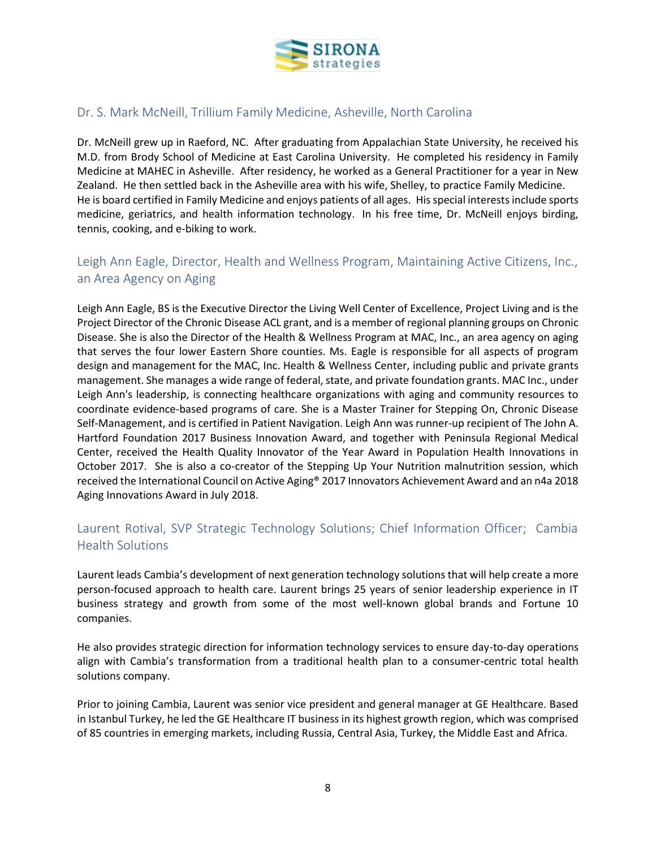

## <span id="page-7-0"></span>Dr. S. Mark McNeill, Trillium Family Medicine, Asheville, North Carolina

Dr. McNeill grew up in Raeford, NC. After graduating from Appalachian State University, he received his M.D. from Brody School of Medicine at East Carolina University. He completed his residency in Family Medicine at MAHEC in Asheville. After residency, he worked as a General Practitioner for a year in New Zealand. He then settled back in the Asheville area with his wife, Shelley, to practice Family Medicine. He is board certified in Family Medicine and enjoys patients of all ages. His special interests include sports medicine, geriatrics, and health information technology. In his free time, Dr. McNeill enjoys birding, tennis, cooking, and e-biking to work.

## <span id="page-7-1"></span>Leigh Ann Eagle, Director, Health and Wellness Program, Maintaining Active Citizens, Inc., an Area Agency on Aging

Leigh Ann Eagle, BS is the Executive Director the Living Well Center of Excellence, Project Living and is the Project Director of the Chronic Disease ACL grant, and is a member of regional planning groups on Chronic Disease. She is also the Director of the Health & Wellness Program at MAC, Inc., an area agency on aging that serves the four lower Eastern Shore counties. Ms. Eagle is responsible for all aspects of program design and management for the MAC, Inc. Health & Wellness Center, including public and private grants management. She manages a wide range of federal, state, and private foundation grants. MAC Inc., under Leigh Ann's leadership, is connecting healthcare organizations with aging and community resources to coordinate evidence-based programs of care. She is a Master Trainer for Stepping On, Chronic Disease Self-Management, and is certified in Patient Navigation. Leigh Ann was runner-up recipient of The John A. Hartford Foundation 2017 Business Innovation Award, and together with Peninsula Regional Medical Center, received the Health Quality Innovator of the Year Award in Population Health Innovations in October 2017. She is also a co-creator of the Stepping Up Your Nutrition malnutrition session, which received the International Council on Active Aging® 2017 Innovators Achievement Award and an n4a 2018 Aging Innovations Award in July 2018.

## <span id="page-7-2"></span>Laurent Rotival, SVP Strategic Technology Solutions; Chief Information Officer; Cambia Health Solutions

Laurent leads Cambia's development of next generation technology solutions that will help create a more person-focused approach to health care. Laurent brings 25 years of senior leadership experience in IT business strategy and growth from some of the most well-known global brands and Fortune 10 companies.

He also provides strategic direction for information technology services to ensure day-to-day operations align with Cambia's transformation from a traditional health plan to a consumer-centric total health solutions company.

Prior to joining Cambia, Laurent was senior vice president and general manager at GE Healthcare. Based in Istanbul Turkey, he led the GE Healthcare IT business in its highest growth region, which was comprised of 85 countries in emerging markets, including Russia, Central Asia, Turkey, the Middle East and Africa.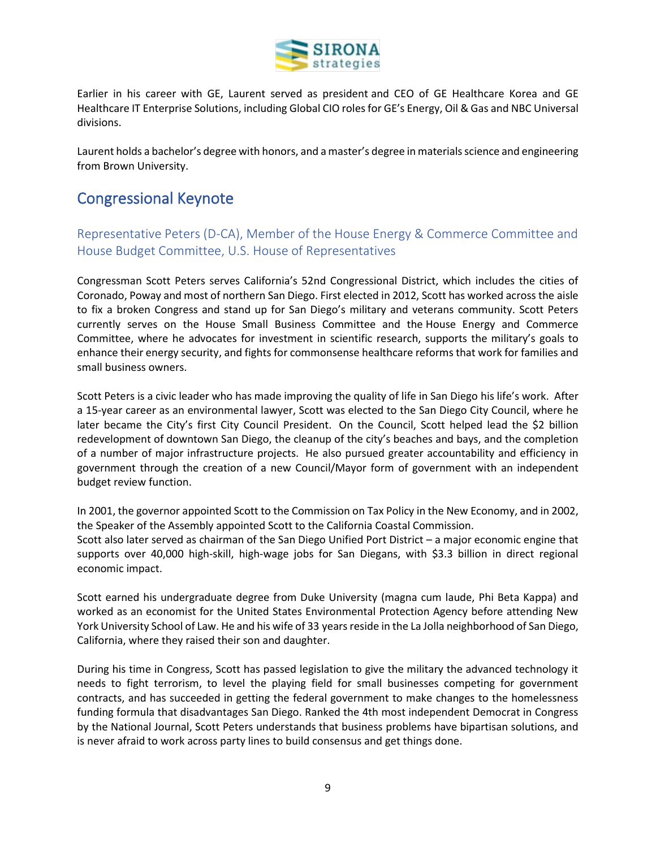

Earlier in his career with GE, Laurent served as president and CEO of GE Healthcare Korea and GE Healthcare IT Enterprise Solutions, including Global CIO roles for GE's Energy, Oil & Gas and NBC Universal divisions.

Laurent holds a bachelor's degree with honors, and a master's degree in materials science and engineering from Brown University.

## <span id="page-8-0"></span>Congressional Keynote

<span id="page-8-1"></span>Representative Peters (D-CA), Member of the House Energy & Commerce Committee and House Budget Committee, U.S. House of Representatives

Congressman Scott Peters serves California's 52nd Congressional District, which includes the cities of Coronado, Poway and most of northern San Diego. First elected in 2012, Scott has worked across the aisle to fix a broken Congress and stand up for San Diego's military and veterans community. Scott Peters currently serves on the House Small Business Committee and the House Energy and Commerce Committee, where he advocates for investment in scientific research, supports the military's goals to enhance their energy security, and fights for commonsense healthcare reforms that work for families and small business owners.

Scott Peters is a civic leader who has made improving the quality of life in San Diego his life's work. After a 15-year career as an environmental lawyer, Scott was elected to the San Diego City Council, where he later became the City's first City Council President. On the Council, Scott helped lead the \$2 billion redevelopment of downtown San Diego, the cleanup of the city's beaches and bays, and the completion of a number of major infrastructure projects. He also pursued greater accountability and efficiency in government through the creation of a new Council/Mayor form of government with an independent budget review function.

In 2001, the governor appointed Scott to the Commission on Tax Policy in the New Economy, and in 2002, the Speaker of the Assembly appointed Scott to the California Coastal Commission.

Scott also later served as chairman of the San Diego Unified Port District – a major economic engine that supports over 40,000 high-skill, high-wage jobs for San Diegans, with \$3.3 billion in direct regional economic impact.

Scott earned his undergraduate degree from Duke University (magna cum laude, Phi Beta Kappa) and worked as an economist for the United States Environmental Protection Agency before attending New York University School of Law. He and his wife of 33 years reside in the La Jolla neighborhood of San Diego, California, where they raised their son and daughter.

During his time in Congress, Scott has passed legislation to give the military the advanced technology it needs to fight terrorism, to level the playing field for small businesses competing for government contracts, and has succeeded in getting the federal government to make changes to the homelessness funding formula that disadvantages San Diego. Ranked the 4th most independent Democrat in Congress by the National Journal, Scott Peters understands that business problems have bipartisan solutions, and is never afraid to work across party lines to build consensus and get things done.